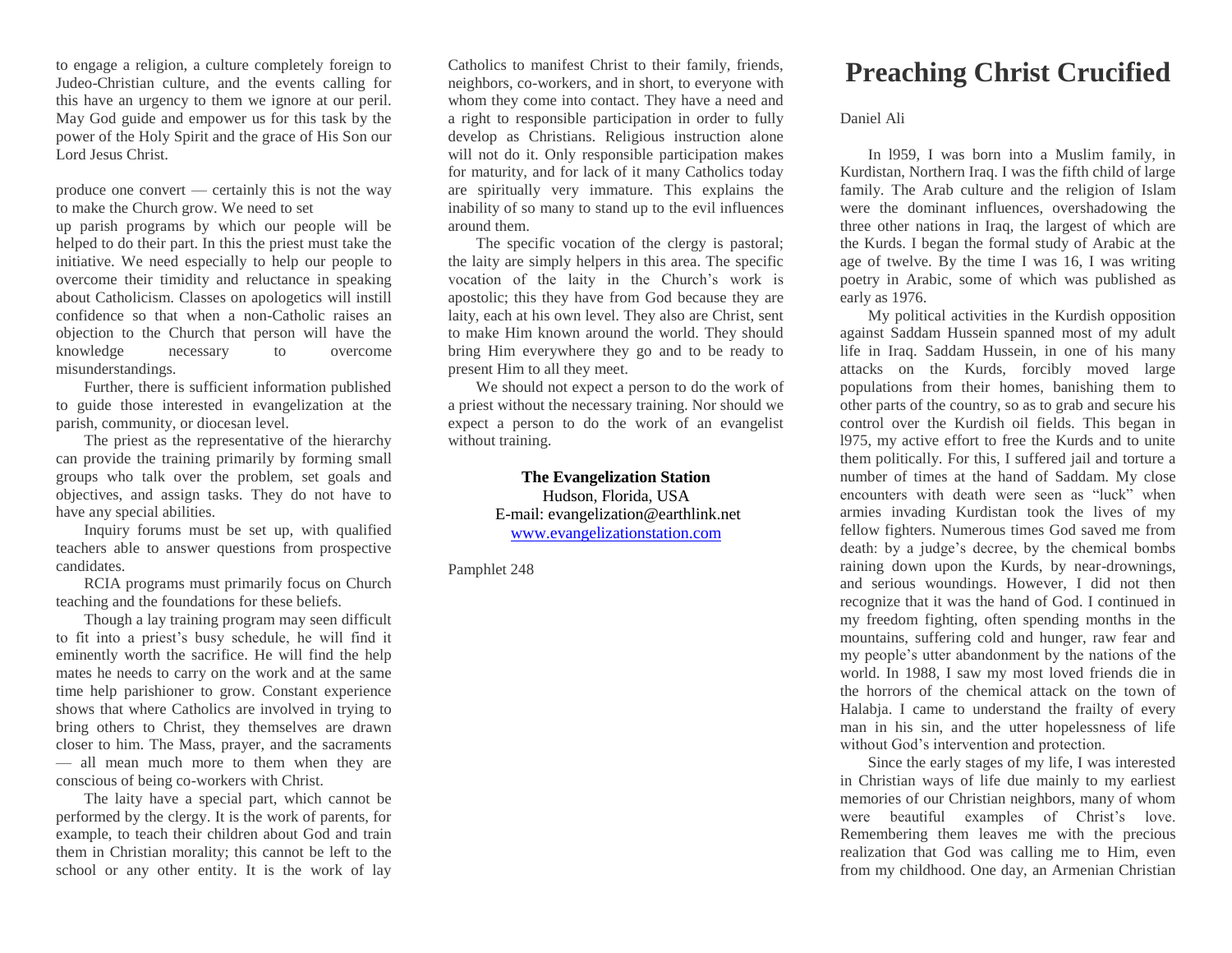to engage a religion, a culture completely foreign to Judeo-Christian culture, and the events calling for this have an urgency to them we ignore at our peril. May God guide and empower us for this task by the power of the Holy Spirit and the grace of His Son our Lord Jesus Christ.

produce one convert — certainly this is not the way to make the Church grow. We need to set

up parish programs by which our people will be helped to do their part. In this the priest must take the initiative. We need especially to help our people to overcome their timidity and reluctance in speaking about Catholicism. Classes on apologetics will instill confidence so that when a non-Catholic raises an objection to the Church that person will have the knowledge necessary to overcome misunderstandings.

Further, there is sufficient information published to guide those interested in evangelization at the parish, community, or diocesan level.

The priest as the representative of the hierarchy can provide the training primarily by forming small groups who talk over the problem, set goals and objectives, and assign tasks. They do not have to have any special abilities.

Inquiry forums must be set up, with qualified teachers able to answer questions from prospective candidates.

RCIA programs must primarily focus on Church teaching and the foundations for these beliefs.

Though a lay training program may seen difficult to fit into a priest's busy schedule, he will find it eminently worth the sacrifice. He will find the help mates he needs to carry on the work and at the same time help parishioner to grow. Constant experience shows that where Catholics are involved in trying to bring others to Christ, they themselves are drawn closer to him. The Mass, prayer, and the sacraments — all mean much more to them when they are conscious of being co-workers with Christ.

The laity have a special part, which cannot be performed by the clergy. It is the work of parents, for example, to teach their children about God and train them in Christian morality; this cannot be left to the school or any other entity. It is the work of lay

Catholics to manifest Christ to their family, friends, neighbors, co-workers, and in short, to everyone with whom they come into contact. They have a need and a right to responsible participation in order to fully develop as Christians. Religious instruction alone will not do it. Only responsible participation makes for maturity, and for lack of it many Catholics today are spiritually very immature. This explains the inability of so many to stand up to the evil influences around them.

The specific vocation of the clergy is pastoral; the laity are simply helpers in this area. The specific vocation of the laity in the Church's work is apostolic; this they have from God because they are laity, each at his own level. They also are Christ, sent to make Him known around the world. They should bring Him everywhere they go and to be ready to present Him to all they meet.

We should not expect a person to do the work of a priest without the necessary training. Nor should we expect a person to do the work of an evangelist without training.

> **The Evangelization Station** Hudson, Florida, USA E-mail: evangelization@earthlink.net [www.evangelizationstation.com](http://www.pjpiisoe.org/)

Pamphlet 248

## **Preaching Christ Crucified**

Daniel Ali

In l959, I was born into a Muslim family, in Kurdistan, Northern Iraq. I was the fifth child of large family. The Arab culture and the religion of Islam were the dominant influences, overshadowing the three other nations in Iraq, the largest of which are the Kurds. I began the formal study of Arabic at the age of twelve. By the time I was 16, I was writing poetry in Arabic, some of which was published as early as 1976.

My political activities in the Kurdish opposition against Saddam Hussein spanned most of my adult life in Iraq. Saddam Hussein, in one of his many attacks on the Kurds, forcibly moved large populations from their homes, banishing them to other parts of the country, so as to grab and secure his control over the Kurdish oil fields. This began in l975, my active effort to free the Kurds and to unite them politically. For this, I suffered jail and torture a number of times at the hand of Saddam. My close encounters with death were seen as "luck" when armies invading Kurdistan took the lives of my fellow fighters. Numerous times God saved me from death: by a judge's decree, by the chemical bombs raining down upon the Kurds, by near-drownings, and serious woundings. However, I did not then recognize that it was the hand of God. I continued in my freedom fighting, often spending months in the mountains, suffering cold and hunger, raw fear and my people's utter abandonment by the nations of the world. In 1988, I saw my most loved friends die in the horrors of the chemical attack on the town of Halabja. I came to understand the frailty of every man in his sin, and the utter hopelessness of life without God's intervention and protection.

Since the early stages of my life, I was interested in Christian ways of life due mainly to my earliest memories of our Christian neighbors, many of whom were beautiful examples of Christ's love. Remembering them leaves me with the precious realization that God was calling me to Him, even from my childhood. One day, an Armenian Christian